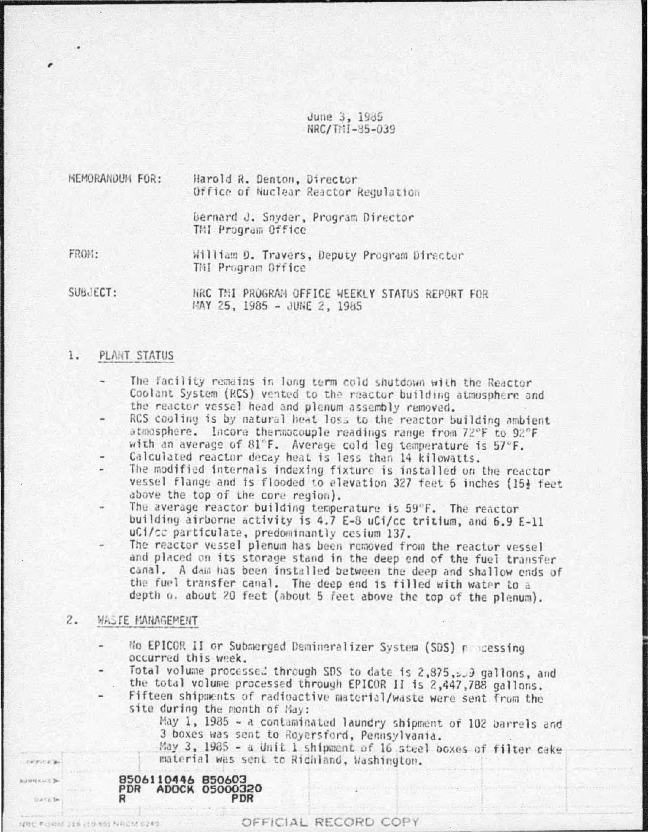June 3, 1985 NRC/THI-85-039

| MEMORANDUM FOR: | Harold R. Denton, Director<br>Office of Nuclear Reactor Regulation |  |  |  |  |  |  |
|-----------------|--------------------------------------------------------------------|--|--|--|--|--|--|
|                 | bernard J. Snyder, Program Director<br>THI Program Office          |  |  |  |  |  |  |
| FROM:           | William D. Travers, Deputy Program Director<br>THI Program Office  |  |  |  |  |  |  |
| SUBJECT:        | NRC THI PROGRAM OFFICE WEEKLY STATUS REPORT FOR                    |  |  |  |  |  |  |

MAY 25, 1985 - JUNE 2, 1985

#### 1. PLANT STATUS

- The facility remains in long term cold shutdown with the Reactor Coolant System (RCS) vented to the reactor building atmosphere and the reactor vessel head and plenum assembly removed.
- RCS cooling is by natural heat loss to the reactor building ambient atmosphere. Incore thermocouple readings range from 72°F to 92°F with an average of 81°F. Average cold leg temperature is 57°F.
- Calculated reactor decay heat is less than 14 kilowatts.
- The modified internals indexing fixture is installed on the reactor vessel flange and is flooded to elevation 327 feet 6 inches (15} feet above the top of the core region).
- The average reactor building temperature is 59°F. The reactor building airborne activity is 4.7 E-8 uCi/cc tritium, and 6.9 E-11 uCi/cc particulate, predominantly cesium 137.
- The reactor vessel plenum has been removed from the reactor vessel and placed on its storage stand in the deep end of the fuel transfer canal. A dam has been installed between the deep and shallow ends of the fuel transfer canal. The deep end is filled with water to a depth o. about 20 feet (about 5 feet above the top of the plenum).
- $\overline{c}$ . WASTE MANAGEMENT
	- No EPICOR II or Submerged Demineralizer System (SDS) processing occurred this week.
	- Total volume processed through SDS to date is 2,875, 200 gallons, and the total volume processed through EPICOR II is 2,447,788 gallons.
	- Fifteen shipments of radioactive material/waste were sent from the site during the month of May:

May 1, 1985 - a contaminated laundry shipment of 102 barrels and 3 boxes was sent to Royersford, Pennsylvania.

May 3, 1985 - a Unit 1 shipment of 16 steel boxes of filter cake material was sent to Richland, Washington.



MOC PHINK 318 (1989) NACM 6240

**Western** 

**GRANDED** 

**Date to**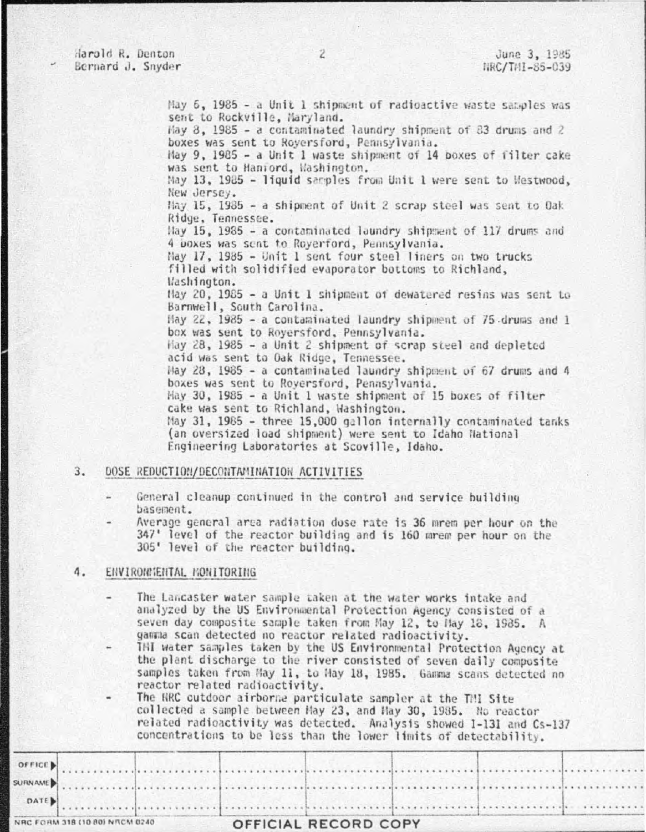May 6, 1985 - a Unit 1 shipment of radioactive waste samples was sent to Rockville, Maryland. Hay 8, 1985 - a contaminated laundry shipment of 83 drums and 2 boxes was sent to Roversford, Pennsylvania.

May 9, 1985 - a Unit 1 waste shipment of 14 boxes of filter cake was sent to Haniord, Washington.

May 13, 1985 - liquid samples from Unit 1 were sent to Westwood, New Jersey.

May 15, 1985 - a shipment of Unit 2 scrap steel was sent to Oak Ridge, Tennessee.

Hay 15, 1985 - a contaminated laundry shipment of 117 drums and 4 DOXes was sent to Roverford, Pennsylvania.

May 17, 1985 - Unit 1 sent four steel liners on two trucks filled with solidified evaporator bottoms to Richland, Washington.

May 20, 1985 - a Unit 1 shipment of dewatered resins was sent to Barnwell, South Carolina.

May 22, 1985 - a contaminated laundry shipment of 75 drums and 1 box was sent to Royersford, Pennsylvania.

Hay 28, 1985 - a Unit 2 shipment of scrap steel and depleted acid was sent to Oak Ridge, Tennessee.

May 28, 1985 - a contaminated laundry shipment of 67 drums and 4 boxes was sent to Royersford, Pennsylvania.

May 30, 1985 - a Unit 1 waste shipment of 15 boxes of filter cake was sent to Richland, Washington.

May 31, 1985 - three 15,000 gallon internally contaminated tanks (an oversized load shipment) were sent to Idaho National Engineering Laboratories at Scoville, Idaho.

## $3.$ DOSE REDUCTION/DECONTAMINATION ACTIVITIES

- General cleanup continued in the control and service building basement.
- Average general area radiation dose rate is 36 mrem per hour on the 347' level of the reactor building and is 160 mrem per hour on the 305' level of the reactor building.

# 4. ENVIRONMENTAL MONITORING

- The Lancaster water sample taken at the water works intake and analyzed by the US Environmental Protection Agency consisted of a seven day composite sample taken from May 12, to May 18, 1985. A gamma scan detected no reactor related radioactivity.
- THI water samples taken by the US Environmental Protection Agency at the plant discharge to the river consisted of seven daily composite samples taken from May 11, to May 18, 1985. Gamma scans detected no reactor related radioactivity.
- The RRC outdoor airborne particulate sampler at the TMI Site collected a sample between May 23, and May 30, 1985. No reactor related radioactivity was detected. Analysis showed I-131 and Cs-137 concentrations to be less than the lower limits of detectability.

| NRC FORM 318 (10 80) NRCM 0240 |  |  | OFFICIAL RECORD COPY |  |  |  |  |
|--------------------------------|--|--|----------------------|--|--|--|--|
| $\sim$ DATE)                   |  |  |                      |  |  |  |  |
|                                |  |  |                      |  |  |  |  |
|                                |  |  |                      |  |  |  |  |
|                                |  |  |                      |  |  |  |  |
|                                |  |  |                      |  |  |  |  |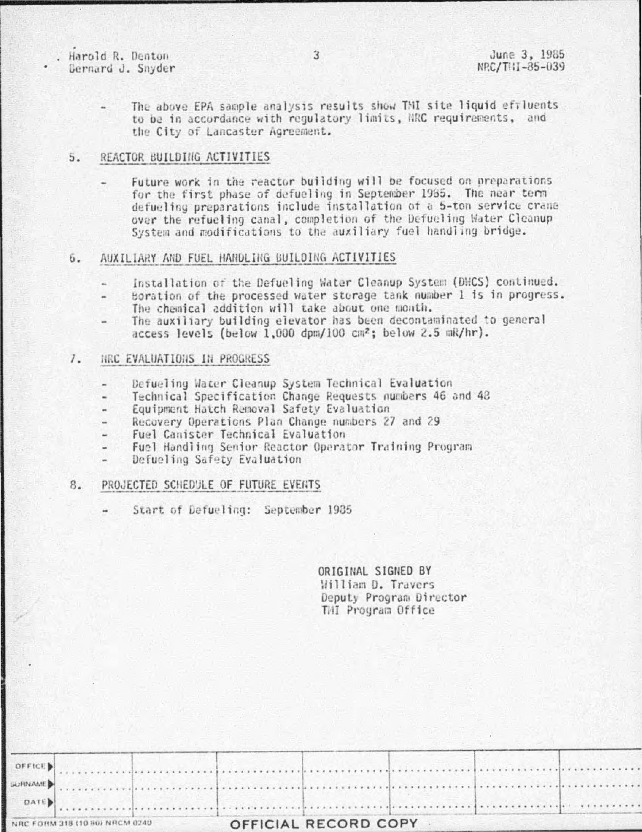Harold R. Denton Bernard J. Snyder

The above EPA sample analysis results show TMI site liquid effluents to be in accordance with requlatory limits, NRC requirements, and the City of Lancaster Agreement.

#### 5. REACTOR BUILDING ACTIVITIES

Future work in the reactor building will be focused on preparations for the first phase of defueling in September 1985. The near term defueling preparations include installation of a 5-ton service crane over the refueling canal, completion of the Defueling Water Cleanup System and modifications to the auxiliary fuel handling bridge.

# AUXILIARY AND FUEL HANDLING BUILDING ACTIVITIES 6.

- Installation of the Defueling Water Cleanup System (DWCS) continued.
- Boration of the processed water storage tank number 1 is in progress. The chemical addition will take about one month.
- The auxiliary building elevator has been decontaminated to general access levels (below 1,000 dpm/100 cm<sup>2</sup>; below 2.5 mk/hr).

### $7.$ NRC EVALUATIONS IN PROGRESS

- Defueling Water Cleanup System Technical Evaluation
- Technical Specification Change Requests numbers 46 and 48
- Equipment Hatch Removal Safety Evaluation
- Recovery Operations Plan Change numbers 27 and 29
- Fuel Canister Technical Evaluation
- Fuel Handling Senior Reactor Operator Training Program  $\omega$  .
- Defueling Safety Evaluation

# PROJECTED SCHEDULE OF FUTURE EVERTS 8.

Start of Defueling: September 1985

ORIGINAL SIGNED BY William D. Travers Deputy Program Director THI Program Office